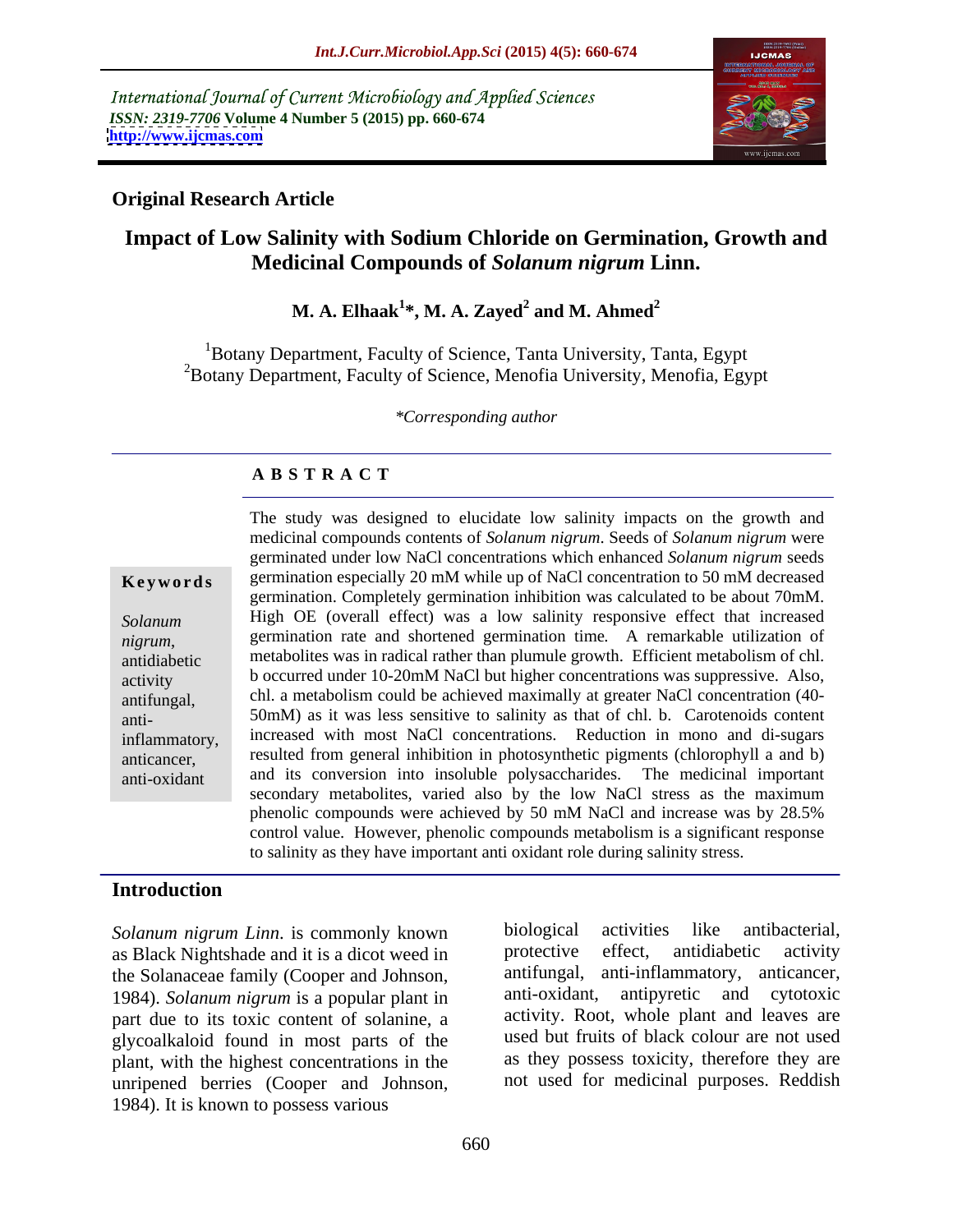International Journal of Current Microbiology and Applied Sciences *ISSN: 2319-7706* **Volume 4 Number 5 (2015) pp. 660-674 <http://www.ijcmas.com>**



## **Original Research Article**

# **Impact of Low Salinity with Sodium Chloride on Germination, Growth and Medicinal Compounds of** *Solanum nigrum* **Linn.**

### $\mathbf{M.~A.~Elhaak}^{1*}, \mathbf{M.~A.~Zayed}^{2}$  and  $\mathbf{M.~Ahmed}^{2}$  **and M. Ahmed<sup>2</sup>**

 $1B$ otany Department, Faculty of Science, Tanta University, Tanta, Egypt <sup>2</sup>Botany Department, Faculty of Science, Menofia University, Menofia, Egypt

*\*Corresponding author*

# **A B S T R A C T**

antianti-oxidant

The study was designed to elucidate low salinity impacts on the growth and medicinal compounds contents of *Solanum nigrum*. Seeds of *Solanum nigrum* were germinated under low NaCl concentrations which enhanced *Solanum nigrum* seeds germination especially 20 mM while up of NaCl concentration to 50 mM decreased **Ke ywo rds** germination. Completely germination inhibition was calculated to be about 70mM. Solanum **High OE** (overall effect) was a low salinity responsive effect that increased germination rate and shortened germination time*.* A remarkable utilization of *nigrum*, metabolites was in radical rather than plumule growth. Efficient metabolism of chl. antidiabetic b occurred under 10-20mM NaCl but higher concentrations was suppressive. Also, activity antifungal, chl. a metabolism could be achieved maximally at greater NaCl concentration (40-50mM) as it was less sensitive to salinity as that of chl. b. Carotenoids content inflammatory, increased with most NaCl concentrations. Reduction in mono and di-sugars resulted from general inhibition in photosynthetic pigments (chlorophyll a and b) anticancer, and its conversion into insoluble polysaccharides. The medicinal important secondary metabolites, varied also by the low NaCl stress as the maximum phenolic compounds were achieved by 50 mM NaCl and increase was by 28.5% control value. However, phenolic compounds metabolism is a significant response to salinity as they have important anti oxidant role during salinity stress.

### **Introduction**

as Black Nightshade and it is a dicot weed in the Solanaceae family (Cooper and Johnson, antifungal, anti-inflammatory, anticancer, 1984) Solanum nigrum is a popular plant in anti-oxidant, antipyretic and cytotoxic 1984). *Solanum nigrum* is a popular plant in part due to its toxic content of solanine, a glycoalkaloid found in most parts of the plant, with the highest concentrations in the unripened berries (Cooper and Johnson, 1984). It is known to possess various

*Solanum nigrum Linn*. is commonly known biological activities like antibacterial, as Black Nightshade and it is a dicot weed in protective effect, antidiabetic activity biological activities like antibacterial, protective effect, antidiabetic activity antifungal, anti-inflammatory, anticancer, anti-oxidant, antipyretic and cytotoxic activity. Root, whole plant and leaves are used but fruits of black colour are not used as they possess toxicity, therefore they are not used for medicinal purposes. Reddish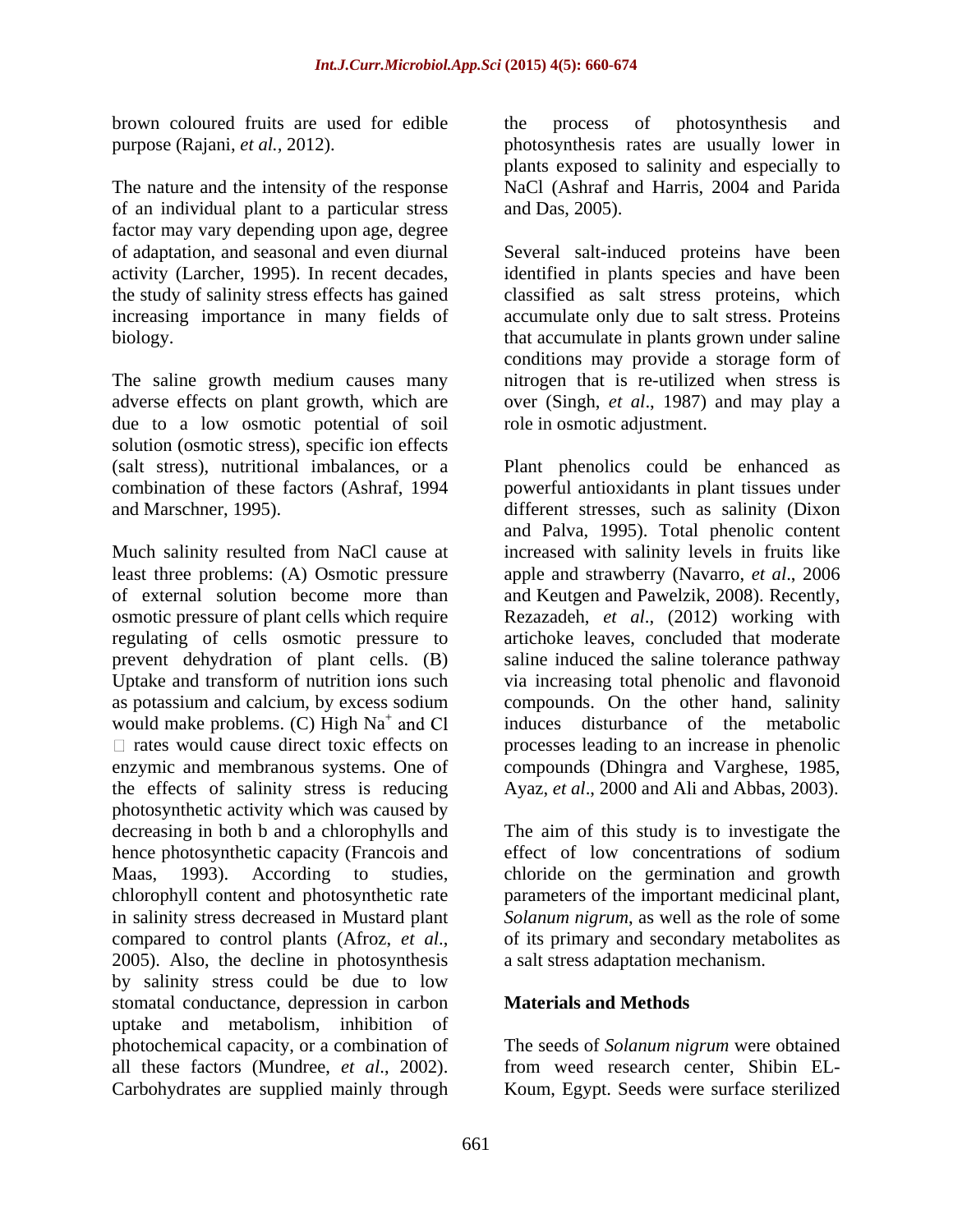brown coloured fruits are used for edible

The nature and the intensity of the response of an individual plant to a particular stress factor may vary depending upon age, degree

The saline growth medium causes many due to a low osmotic potential of soil solution (osmotic stress), specific ion effects

regulating of cells osmotic pressure to prevent dehydration of plant cells. (B) would make problems. (C) High  $Na<sup>+</sup>$  and Cl the effects of salinity stress is reducing photosynthetic activity which was caused by decreasing in both b and a chlorophylls and The aim of this study is to investigate the hence photosynthetic capacity (Francois and effect of low concentrations of sodium Maas, 1993). According to studies, chloride on the germination and growth chlorophyll content and photosynthetic rate parametersof the important medicinal plant, in salinity stress decreased in Mustard plant *Solanum nigrum*, as well as the role of some compared to control plants (Afroz, *et al.*, of its primary and secondary metabolites as 2005). Also, the decline in photosynthesis a salt stress adaptation mechanism. by salinity stress could be due to low stomatal conductance, depression in carbon uptake and metabolism, inhibition of photochemical capacity, or a combination of The seeds of *Solanum nigrum* were obtained all these factors (Mundree, *et al*., 2002). from weed research center, Shibin EL- Carbohydrates are supplied mainly through Koum, Egypt. Seeds were surface sterilized

purpose (Rajani, *et al.*, 2012). photosynthesis rates are usually lower in the process of photosynthesis and plants exposed to salinity and especially to NaCl (Ashraf and Harris, 2004 and Parida and Das, 2005).

of adaptation, and seasonal and even diurnal Several salt-induced proteinshave been activity (Larcher, 1995). In recent decades, identified in plants species and have been the study of salinity stress effects has gained classified as salt stress proteins, which increasing importance in many fields of accumulate only due to salt stress. Proteins biology. that accumulate in plants grown under saline adverse effects on plant growth, which are over (Singh, *et al*., 1987) and may play a conditions may provide a storage form of nitrogen that is re-utilized when stress is role in osmotic adjustment.

(salt stress), nutritional imbalances, or a Plant phenolics could be enhanced as combination of these factors (Ashraf, 1994 powerful antioxidants in plant tissues under and Marschner, 1995). different stresses, such as salinity (Dixon Much salinity resulted from NaCl cause at increased with salinity levels in fruits like least three problems: (A) Osmotic pressure apple and strawberry (Navarro, *et al*., 2006 of external solution become more than and Keutgen and Pawelzik, 2008). Recently, osmotic pressure of plant cells which require Rezazadeh, *et al*., (2012) working with Uptake and transform of nutrition ions such via increasing total phenolic and flavonoid as potassium and calcium, by excess sodium compounds. On the other hand, salinity rates would cause direct toxic effects on processes leading to an increase in phenolic enzymic and membranous systems. One of compounds (Dhingra and Varghese, 1985, and Palva, 1995). Total phenolic content artichoke leaves, concluded that moderate saline induced the saline tolerance pathway compounds. On the other hand, salinity induces disturbance of the metabolic Ayaz, *et al*., 2000 and Ali and Abbas, 2003).

> effect of low concentrations of sodium of its primary and secondary metabolites as a salt stress adaptation mechanism.

### **Materials and Methods**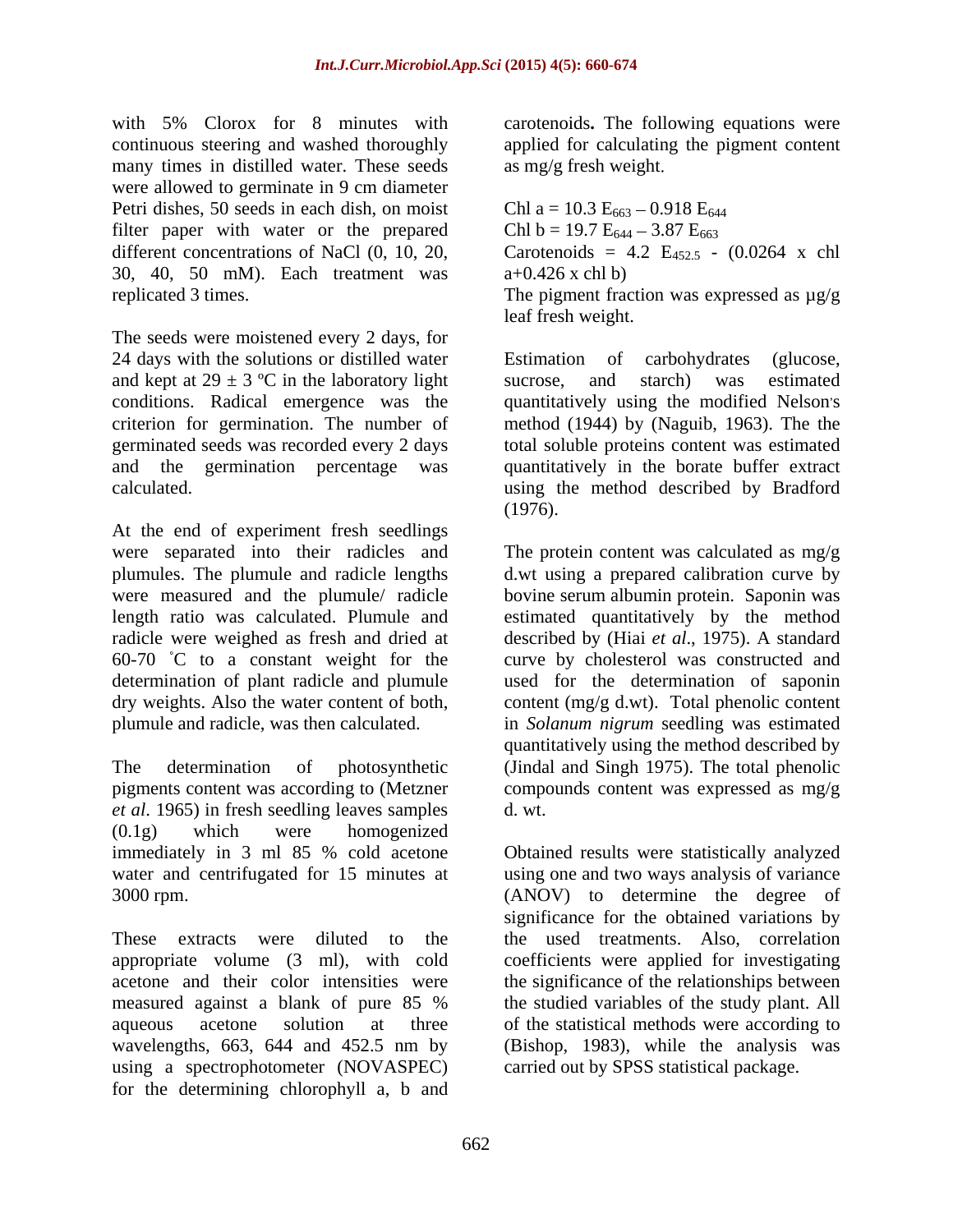with 5% Clorox for 8 minutes with carotenoids**.** The following equations were continuous steering and washed thoroughly applied for calculating the pigment content many times in distilled water. These seeds were allowed to germinate in 9 cm diameter Petri dishes, 50 seeds in each dish, on moist filter paper with water or the prepared different concentrations of NaCl  $(0, 10, 20,$  Carotenoids = 4.2  $E_{452.5}$  -  $(0.0264 \times ch)$ 30, 40, 50 mM). Each treatment was  $a+0.426$  x chl b) replicated 3 times. The pigment fraction was expressed as µg/g

The seeds were moistened every 2 days, for 24 days with the solutions or distilled water <br>Estimation of carbohydrates (glucose, and kept at  $29 \pm 3$  °C in the laboratory light sucrose, and starch) was estimated

At the end of experiment fresh seedlings were measured and the plumule/ radicle

*et al*. 1965) in fresh seedling leaves samples (0.1g) which were homogenized water and centrifugated for 15 minutes at

using a spectrophotometer (NOVASPEC) for the determining chlorophyll a, b and as mg/g fresh weight

Chl a = 10.3  $E_{663}$  – 0.918  $E_{644}$ Chl b = 19.7  $E_{644}$  – 3.87  $E_{663}$  $a+0.426$  x chl b)

leaf fresh weight.

conditions. Radical emergence was the quantitatively using the modified Nelson's criterion for germination. The number of method (1944) by (Naguib, 1963). The the germinated seeds was recorded every 2 days total soluble proteins content was estimated and the germination percentage was quantitatively in the borate buffer extract calculated. using the method described by Bradford Estimation of carbohydrates (glucose, sucrose, and starch) was estimated (1976).

were separated into their radicles and The protein content was calculated as mg/g plumules. The plumule and radicle lengths d.wt using a prepared calibration curve by length ratio was calculated. Plumule and estimated quantitatively by the method radicle were weighed as fresh and dried at described by (Hiai *et al*., 1975). A standard 60-70 C to a constant weight for the curve by cholesterol was constructed and determination of plant radicle and plumule used for the determination of saponin dry weights. Also the water content of both, content (mg/g d.wt). Total phenolic content plumule and radicle, was then calculated. in *Solanum nigrum* seedling was estimated The determination of photosynthetic (Jindal and Singh 1975). The total phenolic pigments content was according to (Metzner compounds content was expressed as mg/g bovine serum albumin protein. Saponin was quantitatively using the method described by d. wt.

immediately in 3 ml 85 % cold acetone Obtained results were statistically analyzed 3000 rpm. (ANOV) to determine the degree of These extracts were diluted to the the used treatments. Also, correlation appropriate volume (3 ml), with cold coefficients were applied for investigating acetone and their color intensities were the significance of the relationships between measured against a blank of pure 85 % aqueous acetone solution at three of the statistical methods were according to wavelengths, 663, 644 and 452.5 nm by (Bishop, 1983), while the analysis was using one and two ways analysisof variance significance for the obtained variations by the studied variables of the study plant. All (Bishop, 1983), while the analysis was carried out by SPSS statistical package.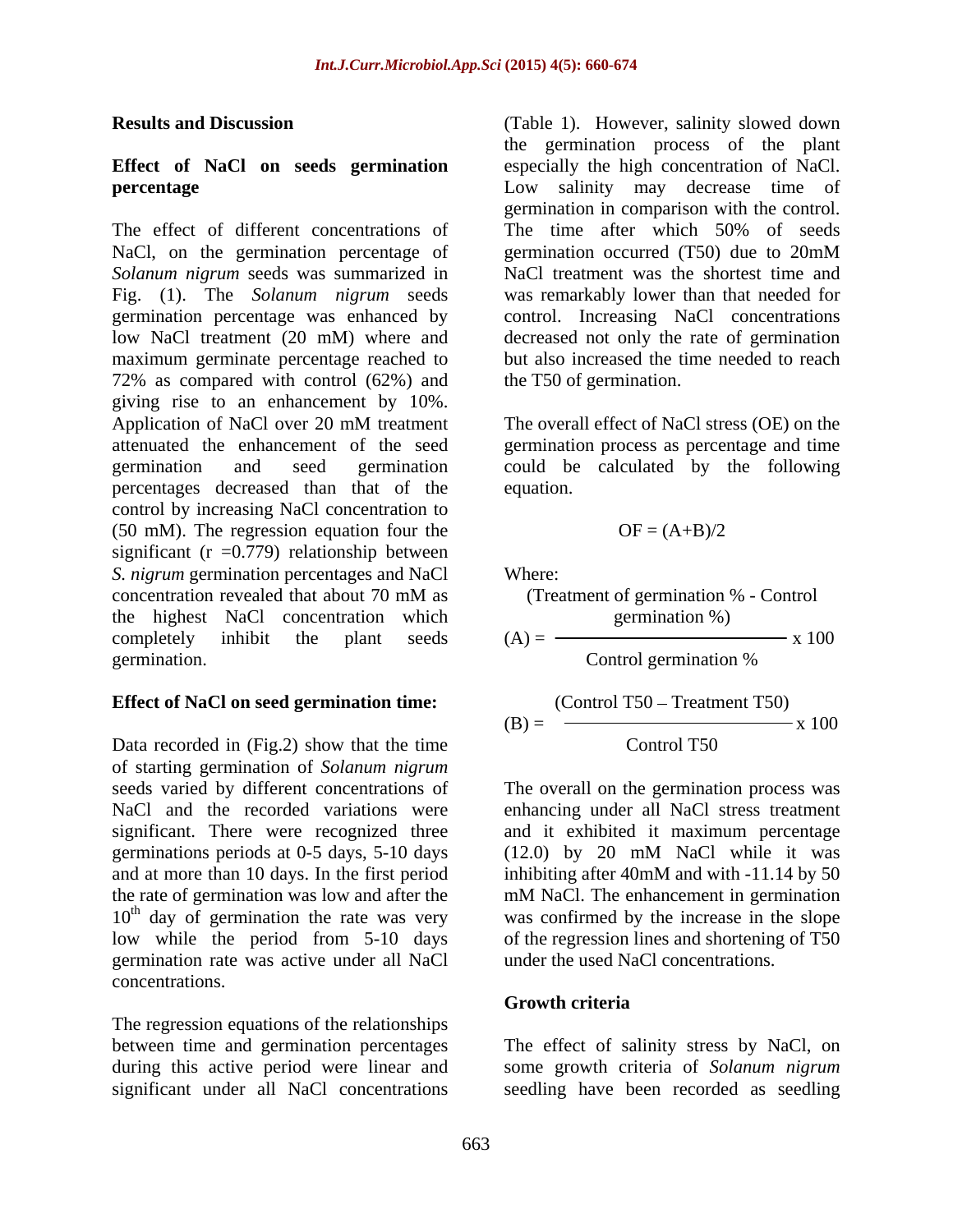The effect of different concentrations of The time after which 50% of seeds NaCl, on the germination percentage of germination occurred (T50) due to 20mM *Solanum nigrum* seeds was summarized in Fig. (1). The *Solanum nigrum* seeds germination percentage was enhanced by control. Increasing NaCl concentrations low NaCl treatment (20 mM) where and decreased not only the rate of germination maximum germinate percentage reached to 72% as compared with control (62%) and giving rise to an enhancement by 10%.<br>Application of NaCl over 20 mM treatment Application of NaCl over 20 mM treatment The overall effect of NaCl stress (OE) on the attenuated the enhancement of the seed germination process as percentage and time germination and seed germination could be calculated by the following percentages decreased than that of the control by increasing NaCl concentration to (50 mM). The regression equation four the significant ( $r = 0.779$ ) relationship between *S. nigrum* germination percentages and NaCl concentration revealed that about 70 mM as the highest NaCl concentration which completely inhibit the plant seeds  $(A) =$   $\frac{\phantom{a}}{\phantom{a}}$   $(A) =$   $\frac{\phantom{a}}{\phantom{a}}$  x 100 germination. Control germination %

### **Effect of NaCl on seed germination time:**

Data recorded in (Fig.2) show that the time of starting germination of *Solanum nigrum* germinations periods at 0-5 days, 5-10 days (12.0) by 20 mM NaCl while it was  $10<sup>th</sup>$  day of germination the rate was very germination rate was active under all NaCl concentrations.

The regression equations of the relationships

**Results and Discussion** (Table 1). However, salinity slowed down **Effect of NaCl on seeds germination** especially the high concentration of NaCl. **percentage** Low salinity may decrease time of the germination process of the plant germination in comparison with the control. germination occurred (T50) due to 20mM NaCl treatment was the shortest time and was remarkably lower than that needed for but also increased the time needed to reach the T50 of germination.

> The overall effect of NaCl stress (OE) on the equation.

$$
OF = (A+B)/2
$$

Where: where  $\sim$ 

(Treatment of germination % - Control  
germination %)  

$$
(A) = \frac{\text{germination %}}{\text{Control germination %}} \times 100
$$

(B) = 
$$
\frac{\text{(Control T50 - Treatment T50)}}{\text{Control T50}} \times 100
$$

seeds varied by different concentrations of The overall on the germination process was NaCl and the recorded variations were enhancing under all NaCl stress treatment significant. There were recognized three and it exhibited it maximum percentage and at more than 10 days. In the first period inhibiting after 40mM and with -11.14 by 50 the rate of germination was low and after the mM NaCl. The enhancement in germination low while the period from 5-10 days of the regression lines and shortening of T50 (12.0) by 20 mM NaCl while it was was confirmed by the increase in the slope under the used NaCl concentrations.

### **Growth criteria**

between time and germination percentages The effect of salinity stress by NaCl, on during this active period were linear and some growth criteria of *Solanum nigrum* significant under all NaCl concentrations seedling have been recorded as seedling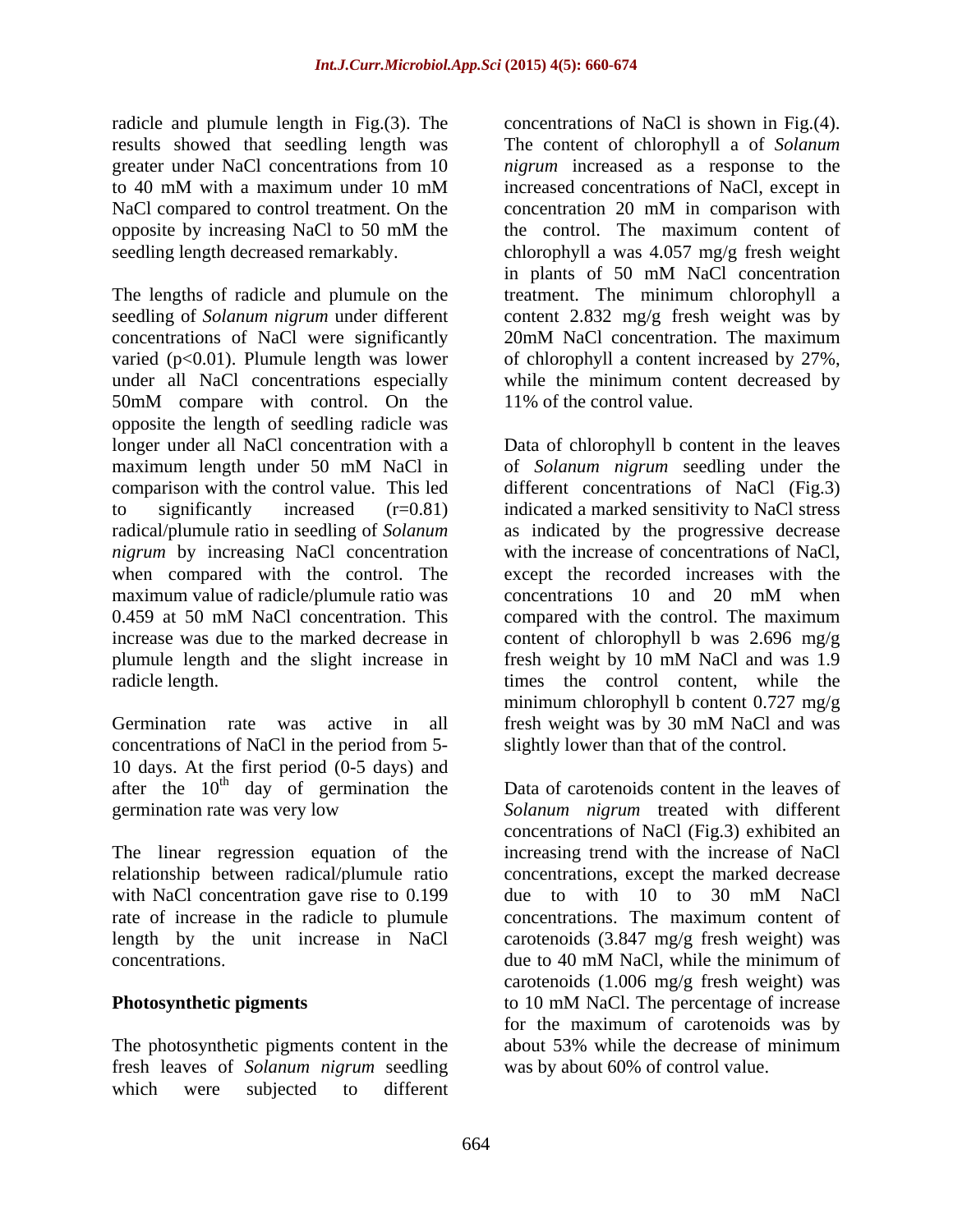radicle and plumule length in Fig.(3). The NaCl compared to control treatment. On the concentration 20 mM in comparison with

The lengths of radicle and plumule on the treatment. The minimum chlorophyll a seedling of *Solanum nigrum* under different concentrations of NaCl were significantly 20mM NaCl concentration. The maximum varied (p<0.01). Plumule length was lower of chlorophyll a content increased by 27%, under all NaCl concentrations especially while the minimum content decreased by 50mM compare with control. On the 11% of the control value. opposite the length of seedling radicle was longer under all NaCl concentration with a Data of chlorophyll b content in the leaves maximum length under 50 mM NaCl in of Solanum nigrum seedling under the comparison with the control value. This led different concentrations of NaCl (Fig.3) to significantly increased (r=0.81) indicated a marked sensitivity to NaCl stress radical/plumule ratio in seedling of *Solanum*  as indicated by the progressive decrease *nigrum* by increasing NaCl concentration when compared with the control. The maximum value of radicle/plumule ratio was concentrations 10 and 20 mM when 0.459 at 50 mM NaCl concentration. This compared with the control. The maximum increase was due to the marked decrease in content of chlorophyll b was 2.696 mg/g plumule length and the slight increase in fresh weight by 10 mM NaCl and was 1.9

concentrations of NaCl in the period from 5- 10 days. At the first period (0-5 days) and after the  $10<sup>th</sup>$  day of germination the

The linear regression equation of the with NaCl concentration gave rise to 0.199 due to with 10 to 30 mM NaCl concentrations. due to 40 mM NaCl, while the minimum of

The photosynthetic pigments content in the about 53% while the decrease of minimum fresh leaves of *Solanum nigrum* seedling which were subjected to different

results showed that seedling length was The content of chlorophyll a of *Solanum*  greater under NaCl concentrations from 10 *nigrum* increased as a response to the to 40 mM with a maximum under 10 mM opposite by increasing NaCl to 50 mM the the control. The maximum content of seedling length decreased remarkably. chlorophyll a was 4.057 mg/g fresh weight concentrations of NaCl is shown in Fig.(4). increased concentrations of NaCl, except in concentration 20 mM in comparison with the control. The maximum content of in plants of 50 mM NaCl concentration content 2.832 mg/g fresh weight was by 20mM NaCl concentration. The maximum 11% of the control value.

radicle length. times the control content, while the Germination rate was active in all fresh weight was by 30 mM NaCl and was of *Solanum nigrum* seedling under the with the increase of concentrations of NaCl, except the recorded increases with the concentrations 10 and 20 mM when compared with the control. The maximum fresh weight by 10 mM NaCl and was 1.9 minimum chlorophyll b content 0.727 mg/g slightly lower than that of the control.

<sup>th</sup> day of germination the Data of carotenoids content in the leaves of germination rate was very low *Solanum nigrum* treated with different relationship between radical/plumule ratio concentrations, except the marked decrease rate of increase in the radicle to plumule concentrations. The maximum content of length by the unit increase in NaCl carotenoids (3.847 mg/g fresh weight) was **Photosynthetic pigments** to 10 mM NaCl. The percentage of increase concentrations of NaCl (Fig.3) exhibited an increasing trend with the increase of NaCl due to with 10 to 30 mM NaCl due to 40 mM NaCl, while the minimum of carotenoids (1.006 mg/g fresh weight) was to 10 mM NaCl. The percentage of increase for the maximum of carotenoids was by about 53% while the decrease of minimum was by about 60% of control value.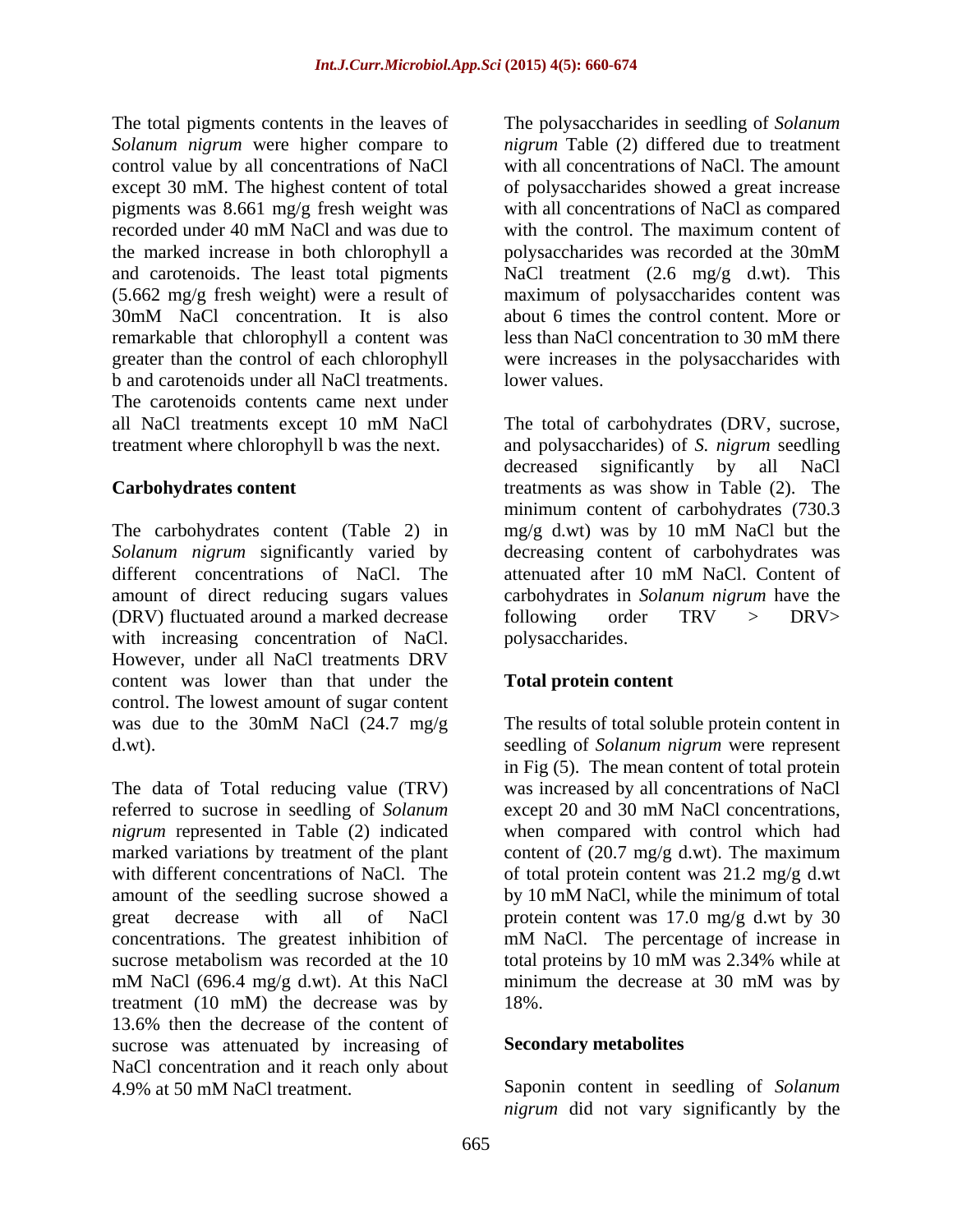control value by all concentrations of NaCl the marked increase in both chlorophyll a subspace that increase in both chlorophyll a subspace polyosaccharides was recorded at the 30mM remarkable that chlorophyll a content was b and carotenoids under all NaCl treatments. The carotenoids contents came next under

The carbohydrates content (Table 2) in  $mg/g$  d.wt) was by 10 mM NaCl but the different concentrations of NaCl. The attenuated after 10 mM NaCl. Content of amount of direct reducing sugars values (DRV) fluctuated around a marked decrease following order TRV > DRV> with increasing concentration of NaCl. However, under all NaCl treatments DRV content was lower than that under the control. The lowest amount of sugar content was due to the 30mM NaCl (24.7 mg/g d.wt). seedling of *Solanum nigrum* were represent

The data of Total reducing value (TRV) referred to sucrose in seedling of *Solanum*  except 20 and 30 mM NaCl concentrations, *nigrum* represented in Table (2) indicated when compared with control which had marked variations by treatment of the plant with different concentrations of NaCl. The of total protein content was 21.2 mg/g d.wt amount of the seedling sucrose showed a by 10 mM NaCl, while the minimum of total great decrease with all of NaCl protein content was 17.0 mg/g d.wt by 30 concentrations. The greatest inhibition of mM NaCl. The percentage of increase in sucrose metabolism was recorded at the 10 total proteins by 10 mM was 2.34% while at mM NaCl (696.4 mg/g d.wt). At this NaCl minimum the decrease at 30 mM was by treatment (10 mM) the decrease was by 18%. 13.6% then the decrease of the content of sucrose was attenuated by increasing of NaCl concentration and it reach only about

The total pigments contents in the leaves of The polysaccharides in seedling of *Solanum Solanum nigrum* were higher compare to *nigrum* Table (2) differed due to treatment except 30 mM. The highest content of total of polysaccharides showed a great increase pigments was 8.661 mg/g fresh weight was with all concentrations of NaCl as compared recorded under 40 mM NaCl and was due to with the control. The maximum content of and carotenoids. The least total pigments NaCl treatment (2.6 mg/g d.wt). This (5.662 mg/g fresh weight) were a result of maximum of polysaccharides content was 30mM NaCl concentration. It is also about 6 times the control content. More or greater than the control of each chlorophyll were increases in the polysaccharides with with all concentrations of NaCl. The amount with the control. The maximum content of polysaccharides was recorded at the 30mM about 6 times the control content. More or less than NaCl concentration to 30 mM there lower values.

all NaCl treatments except 10 mM NaCl The total of carbohydrates (DRV, sucrose, treatment where chlorophyll b was the next. and polysaccharides) of *S. nigrum* seedling **Carbohydrates content** treatments as was show in Table (2). The *Solanum nigrum* significantly varied by decreasing content of carbohydrates was The total of carbohydrates (DRV, sucrose, decreased significantly by all NaCl minimum content of carbohydrates (730.3 mg/g d.wt) was by 10 mM NaCl but the attenuated after 10 mM NaCl. Content of carbohydrates in *Solanum nigrum* havethe following order TRV > DRV> polysaccharides.

# **Total protein content**

The results of total soluble protein content in in Fig (5). The mean content of total protein was increased by all concentrations of NaCl content of  $(20.7 \text{ mg/g d.wt})$ . The maximum total proteins by 10 mM was 2.34% while at minimum the decrease at 30 mM was by 18%.

### **Secondary metabolites**

4.9% at 50 mM NaCl treatment. Saponin content in seedling of *Solanum nigrum* did not vary significantly by the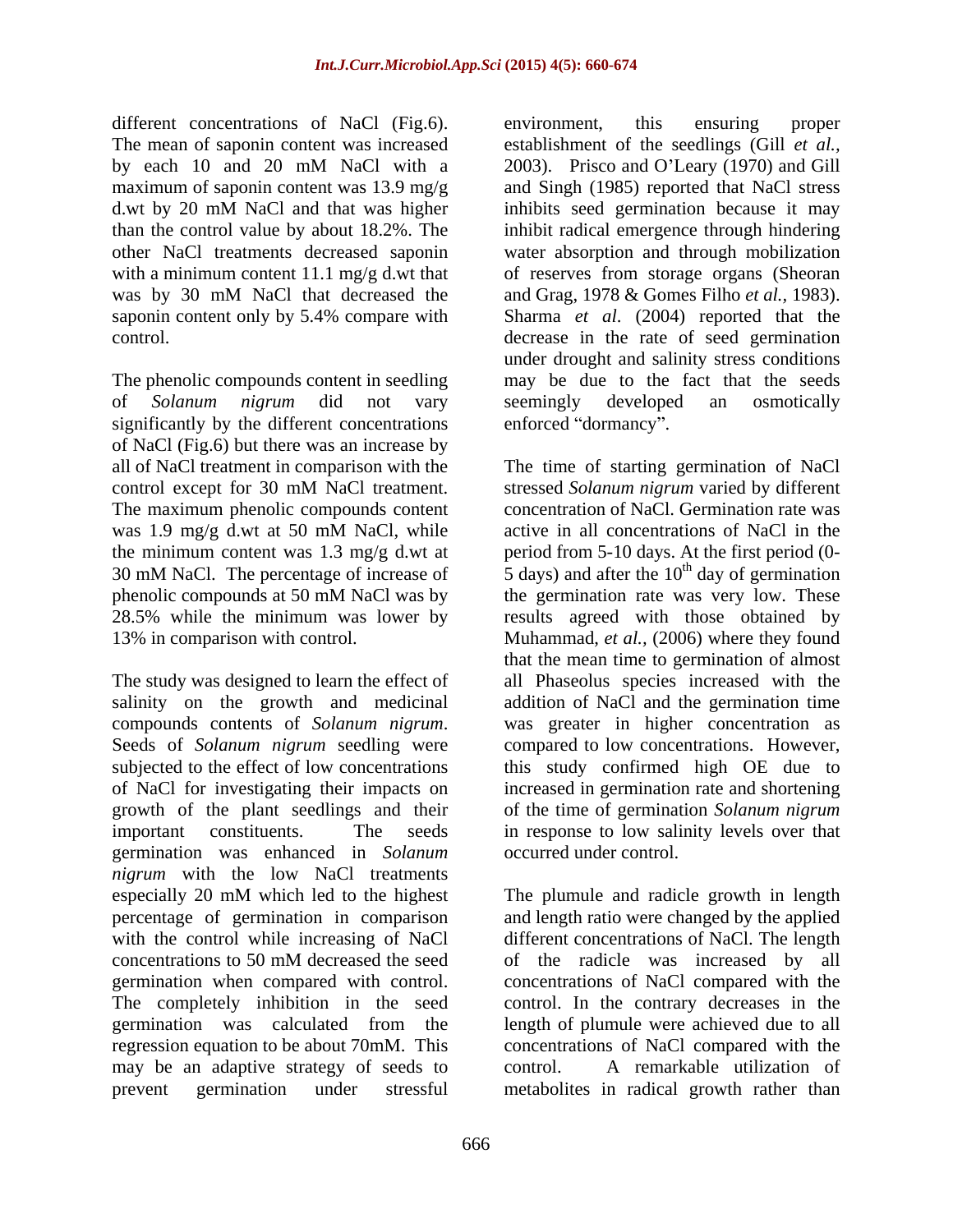different concentrations of NaCl (Fig.6). environment, this ensuring proper

The phenolic compounds content in seedling significantly by the different concentrations enforced "dormancy". of NaCl (Fig.6) but there was an increase by The maximum phenolic compounds content

The study was designed to learn the effect of all Phaseolus species increased with the salinity on the growth and medicinal addition of NaCl and the germination time compounds contents of *Solanum nigrum*. Seeds of *Solanum nigrum* seedling were subjected to the effect of low concentrations this study confirmed high OE due to of NaCl for investigating their impacts on increased in germination rate and shortening growth of the plant seedlings and their of the time of germination *Solanum nigrum* important constituents. The seeds in response to low salinity levels over that germination was enhanced in *Solanum nigrum* with the low NaCl treatments especially 20 mM which led to the highest may be an adaptive strategy of seeds to control. A remarkable utilization of

The mean of saponin content was increased establishment of the seedlings (Gill *et al.,* by each 10 and 20 mM NaCl with a 2003). Prisco and O'Leary (1970) and Gill maximum of saponin content was 13.9 mg/g and Singh (1985) reported that NaCl stress d.wt by 20 mM NaCl and that was higher than the control value by about 18.2%. The inhibit radical emergence through hindering other NaCl treatments decreased saponin water absorption and through mobilization with a minimum content 11.1 mg/g d.wt that of reserves from storage organs (Sheoran was by 30 mM NaCl that decreased the and Grag, 1978 & Gomes Filho et al., 1983). saponin content only by 5.4% compare with Sharma *et al*. (2004) reported that the control. decrease in the rate of seed germination of *Solanum nigrum* did not vary environment, this ensuring proper 2003). Prisco and O Leary (1970) and Gill inhibits seed germination because it may and Grag, 1978 & Gomes Filho *et al.,* 1983). under drought and salinity stress conditions may be due to the fact that the seeds seemingly developed an osmotically enforced "dormancy".

all of NaCl treatment in comparison with the The time of starting germination of NaCl control except for 30 mM NaCl treatment. Stressed Solanum nigrum varied by different was 1.9 mg/g d.wt at 50 mM NaCl, while active in all concentrations of NaCl in the the minimum content was 1.3 mg/g d.wt at period from 5-10 days. At the first period (0- 30 mM NaCl. The percentage of increase of  $\qquad$  5 days) and after the  $10^{\text{m}}$  day of germination phenolic compounds at 50 mM NaCl was by the germination rate was very low. These 28.5% while the minimum was lower by results agreed with those obtained by 13% in comparison with control. Muhammad, *et al.,* (2006) where they found stressed *Solanum nigrum* varied by different concentration of NaCl. Germination rate was active in all concentrations of NaCl in the <sup>th</sup> day of germination the germination rate was very low. These that the mean time to germination of almost was greater in higher concentration as compared to low concentrations. However, occurred under control.

percentage of germination in comparison and length ratio were changed by the applied with the control while increasing of NaCl different concentrations of NaCl. The length concentrations to 50 mM decreased the seed germination when compared with control. concentrations of NaCl compared with the The completely inhibition in the seed control. In the contrary decreases in the germination was calculated from the length of plumule were achieved due to all regression equation to be about 70mM. This concentrations of NaCl compared with the prevent germination under stressful metabolites in radical growth rather thanThe plumule and radicle growth in length of the radicle was increased by all control. A remarkable utilization of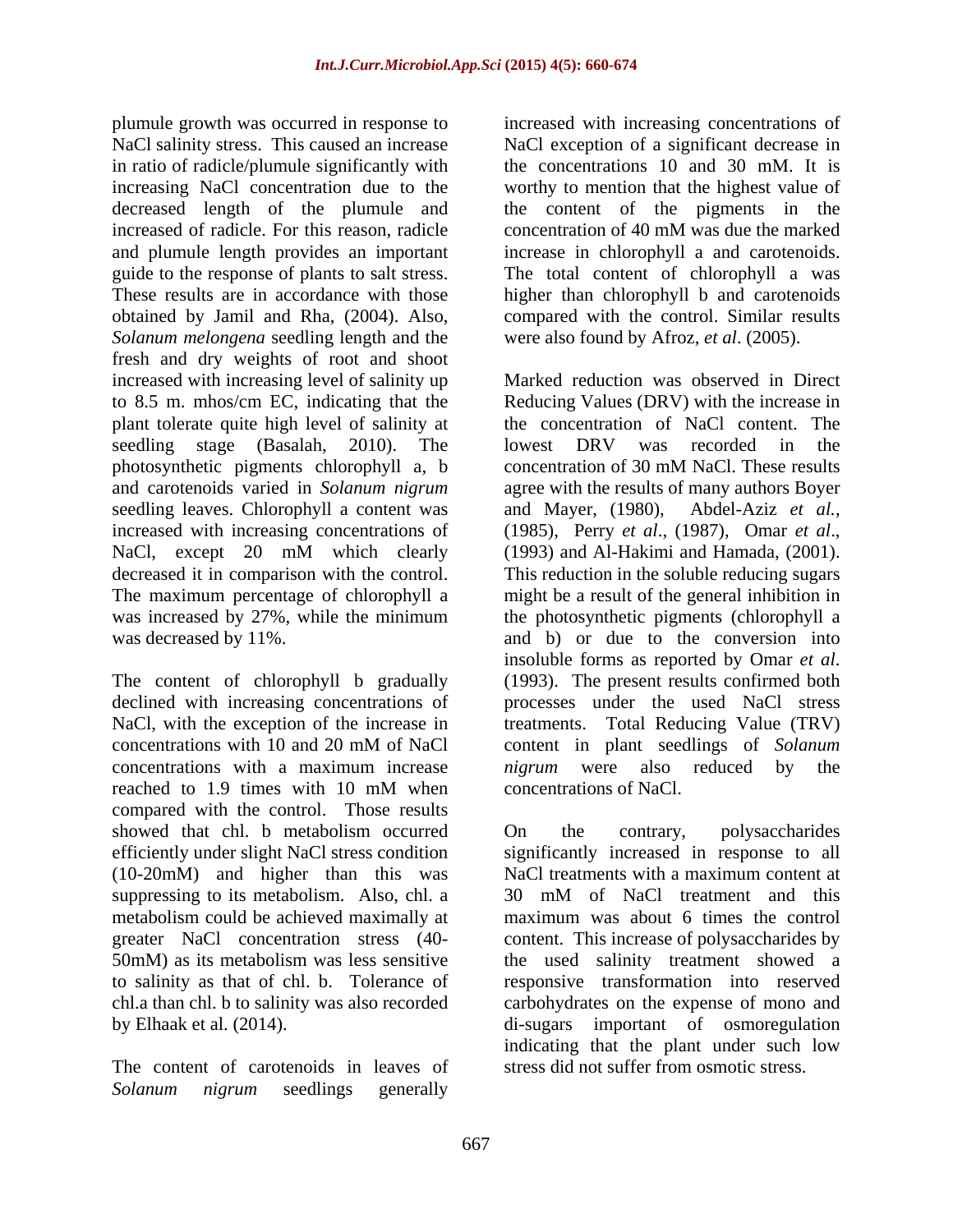plumule growth was occurred in response to increased with increasing concentrations of NaCl salinity stress. This caused an increase NaCl exception of a significant decrease in in ratio of radicle/plumule significantly with increasing NaCl concentration due to the worthy to mention that the highest value of decreased length of the plumule and the content of the pigments in the increased of radicle. For this reason, radicle and plumule length provides an important increase in chlorophyll a and carotenoids. guide to the response of plants to salt stress. The total content of chlorophyll a was These results are in accordance with those higher than chlorophyll b and carotenoids obtained by Jamil and Rha, (2004). Also, compared with the control. Similar results *Solanum melongena* seedling length and the fresh and dry weights of root and shoot plant tolerate quite high level of salinity at seedling stage (Basalah, 2010). The lowest DRV was recorded in the photosynthetic pigments chlorophyll a, b seedling leaves. Chlorophyll a content was and Mayer, (1980), Abdel-Aziz et al., increased with increasing concentrations of (1985), Perry et al., (1987), Omar et al.,

The content of chlorophyll b gradually (1993). The present results confirmed both declined with increasing concentrations of processes under the used NaCl stress concentrations with a maximum increase *nigrum* were also reduced by the reached to 1.9 times with 10 mM when concentrations of NaCl. compared with the control. Those results suppressing to its metabolism. Also, chl. a 30 mM of NaCl treatment and this

The content of carotenoids in leaves of *Solanum nigrum* seedlings generally

the concentrations 10 and 30 mM. It is concentration of 40 mM was due the marked were also found by Afroz, *et al*. (2005).

increased with increasing level of salinity up Marked reduction was observed in Direct to 8.5 m. mhos/cm EC, indicating that the Reducing Values (DRV) with the increase in and carotenoids varied in *Solanum nigrum* agree with the results of many authors Boyer NaCl, except 20 mM which clearly (1993) and Al-Hakimi and Hamada, (2001). decreased it in comparison with the control. This reduction in the soluble reducing sugars The maximum percentage of chlorophyll a might be a result of the general inhibition in was increased by 27%, while the minimum the photosynthetic pigments (chlorophyll a was decreased by 11%. and b) or due to the conversion into declined with increasing concentrations of processes under the used NaCl stress NaCl, with the exception of the increase in treatments. Total Reducing Value (TRV) concentrations with 10 and 20 mM of NaCl content in plant seedlings of Solanum the concentration of NaCl content. The lowest DRV was recorded in the concentration of 30 mM NaCl. These results and Mayer, (1980), Abdel-Aziz *et al.*, (1985), Perry *et al*., (1987), Omar *et al*., (1993) and Al-Hakimi and Hamada, (2001). insoluble forms as reported by Omar *et al*. (1993). The present results confirmed both content in plant seedlings of *Solanum nigrum* were also reduced by the concentrations of NaCl.

showed that chl. b metabolism occurred on the contrary, polysaccharides efficiently under slight NaCl stress condition significantly increased in response to all (10-20mM) and higher than this was NaCl treatments with a maximum content at metabolism could be achieved maximally at maximum was about 6 times the control greater NaCl concentration stress (40- content. This increase of polysaccharides by 50mM) as its metabolism was less sensitive the used salinity treatment showed a to salinity as that of chl. b. Tolerance of responsive transformation into reserved chl.a than chl. b to salinity was also recorded carbohydrates on the expense of mono and by Elhaak et al. (2014). di-sugars important of osmoregulation On the contrary, polysaccharides 30 mM of NaCl treatment and this indicating that the plant under such low stress did not suffer from osmotic stress.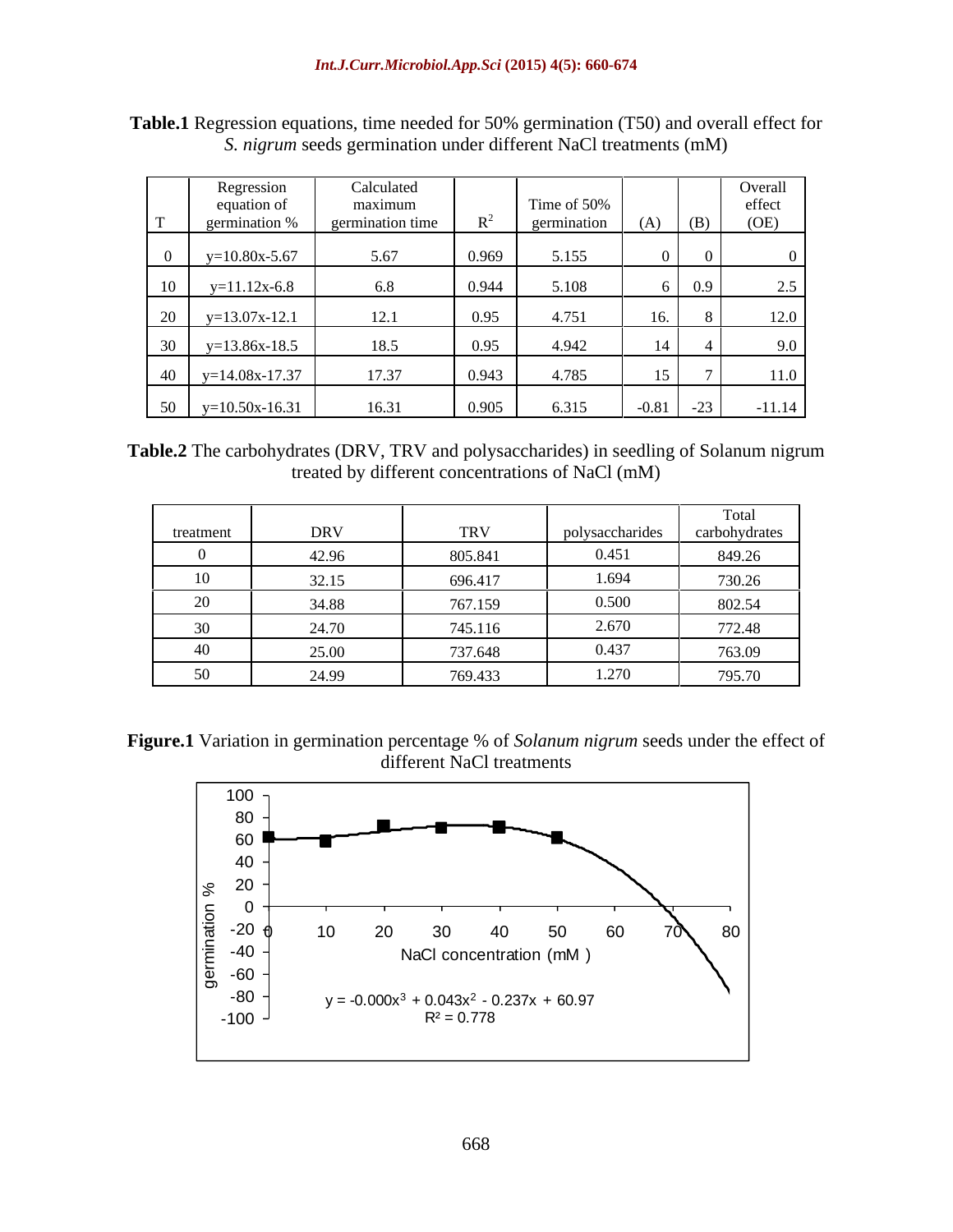| <b>Table.</b> 1<br>germination $(T50)$ and $\epsilon$<br>time needed for 50%<br>u overall effect for<br>Regression equa<br>iations                   |  |
|------------------------------------------------------------------------------------------------------------------------------------------------------|--|
| $\bullet$ $\bullet$ $\bullet$<br>$\sim$<br>ments (mM)<br>and permination under different Nac.<br><i>nigrum</i> seeds<br>⊥ tree′<br>$-180$<br>uvaansi |  |

|    | Regression                | Calculated       |       |             |               | Overall  |
|----|---------------------------|------------------|-------|-------------|---------------|----------|
|    | equation of               | maximum          |       | Time of 50% |               | effect   |
|    | germination %             | germination time |       | germination | $(A)$ $(B)$   | (OE)     |
|    | $y=10.80x-5.67$           | 5.67             | 0.969 | 5.155       |               |          |
| 10 | y=11.12x-6.8              | 6.8              | 0.944 | 5.108       | 6   0.9       | 2.5      |
| 20 | $y=13.07x-12.1$           | 12.1             | 0.95  | 4.751       | $16-1$        | 12.0     |
| 30 | $y=13.86x-18.5$           | 18.5             | 0.95  | 4.942       | -4            |          |
|    | $40 \quad y=14.08x-17.37$ | 17.37            | 0.943 | 4.785       | $15-1$        | 11.0     |
|    | $50 \quad y=10.50x-16.31$ | 16.31            | 0.905 | 6.315       | $-0.81$ $-23$ | $-11.14$ |

**Table.2** The carbohydrates (DRV, TRV and polysaccharides) in seedling of Solanum nigrum treated by different concentrations of NaCl (mM)

|                 |            |            |                | Total         |
|-----------------|------------|------------|----------------|---------------|
| treatment       | <b>DRV</b> | <b>TRV</b> | polysaccharide | carbohydrates |
|                 | 42.96      | 805.841    | 0.451          | 849.26        |
| 10              | 32.15      | 696.417    | 1.694          | 730.26        |
| $\Delta$<br>-40 | 34.88      | 767.159    | 0.500          | 802.54        |
| 30              | 24.70      | 745.116    | 2.670          | 772.48        |
| 40              | 25.00      | 737.648    | 0.437          | 763.09        |
| $50 -$          | 24.99      | 769.433    | 1.270          | 795.70        |

**Figure.1** Variation in germination percentage % of *Solanum nigrum* seeds under the effect of different NaCl treatments

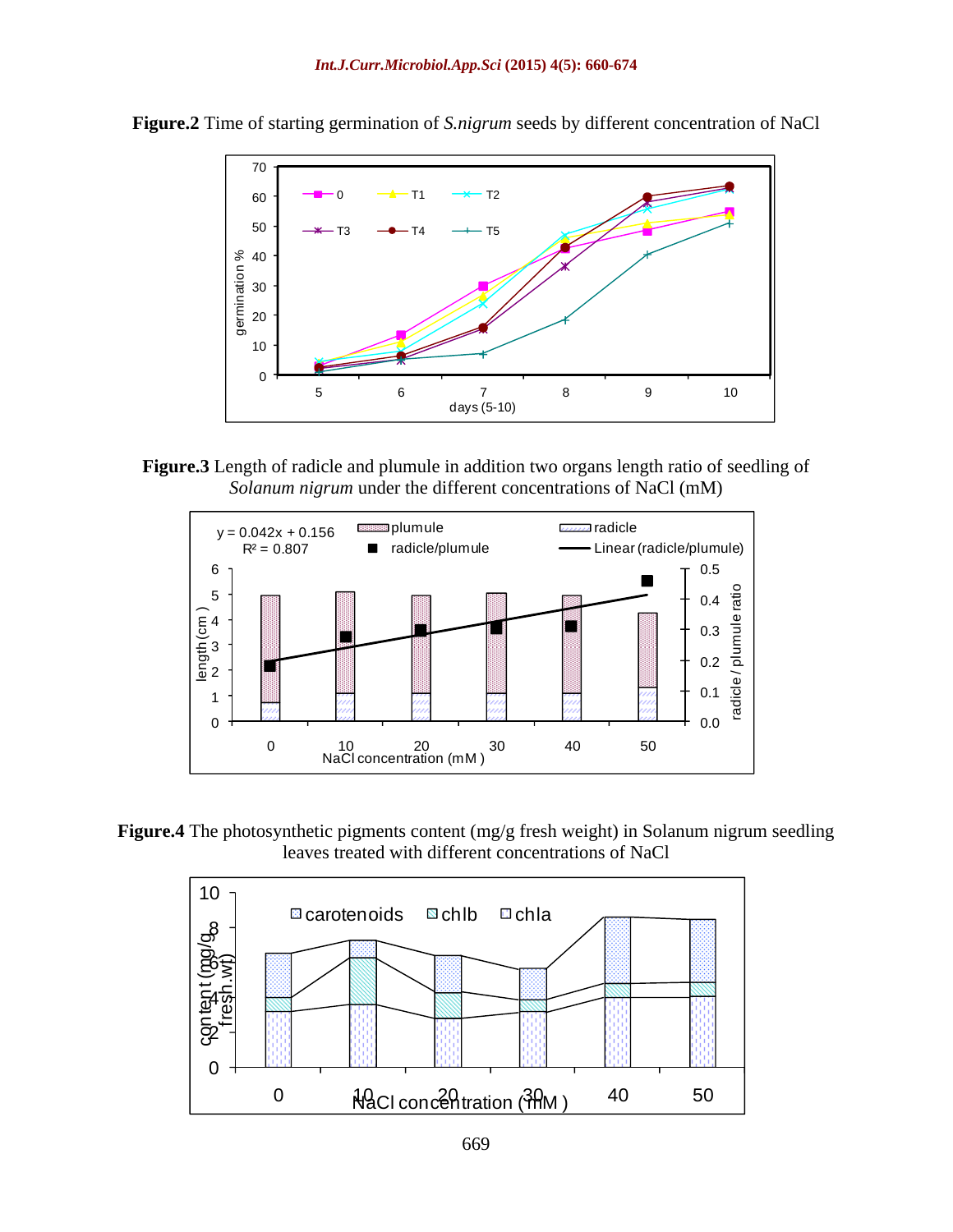

**Figure.2** Time of starting germination of *S.nigrum* seeds by different concentration of NaCl





**Figure.4** The photosynthetic pigments content (mg/g fresh weight) in Solanum nigrum seedling leaves treated with different concentrations of NaCl

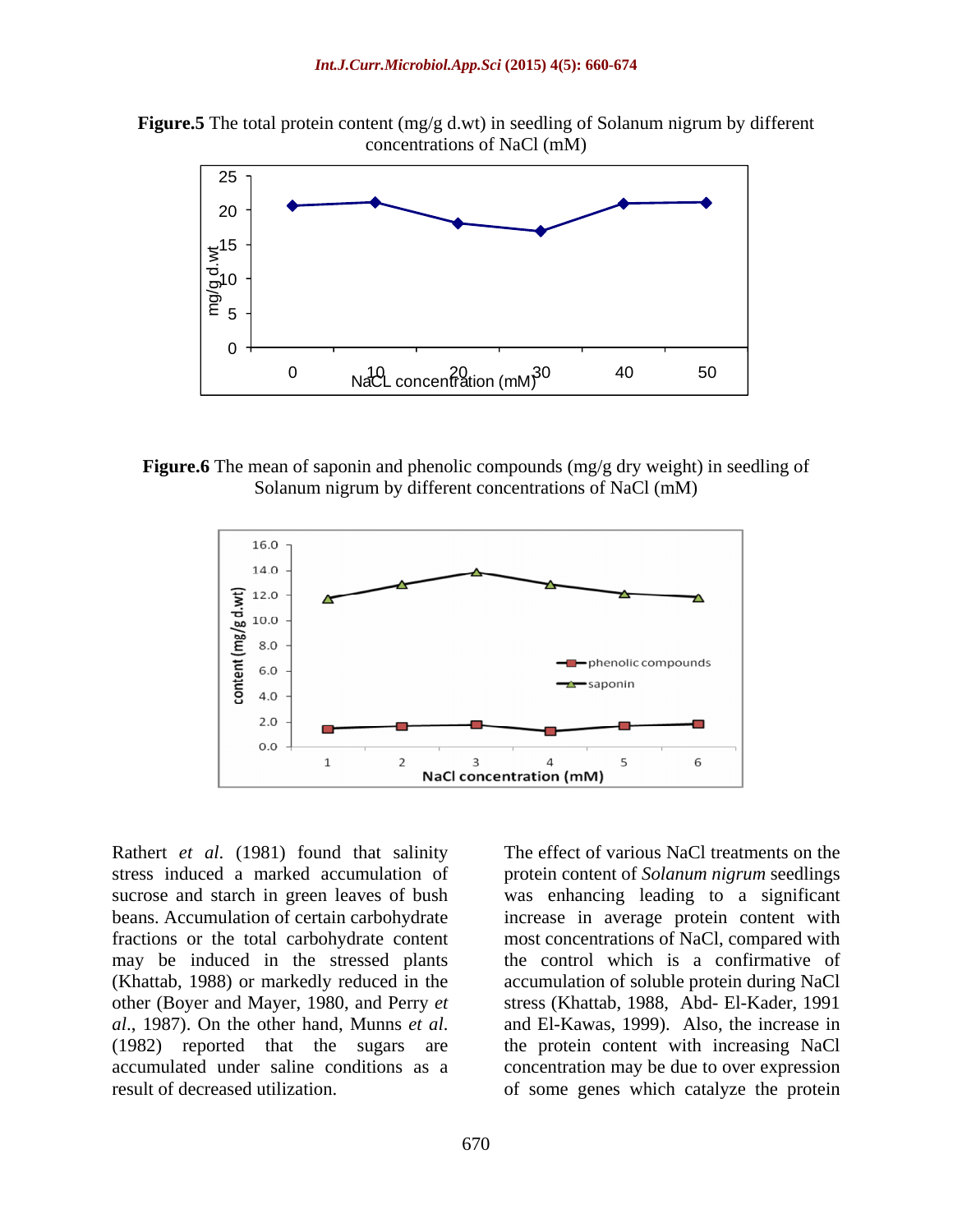**Figure.5** The total protein content (mg/g d.wt) in seedling of Solanum nigrum by different concentrations of NaCl (mM)



**Figure.6** The mean of saponin and phenolic compounds (mg/g dry weight) in seedling of Solanum nigrum by different concentrations of NaCl (mM)



Rathert *et al*. (1981) found that salinity stress induced a marked accumulation of protein content of *Solanum nigrum* seedlings sucrose and starch in green leaves of bush was enhancing leading to a significant beans. Accumulation of certain carbohydrate increase in average protein content with fractions or the total carbohydrate content most concentrations of NaCl, compared with may be induced in the stressed plants (Khattab, 1988) or markedly reduced in the accumulation of soluble protein during NaCl other (Boyer and Mayer, 1980, and Perry *et*  stress (Khattab, 1988, Abd- El-Kader, 1991 *al.*, 1987). On the other hand, Munns *et al*. and El-Kawas, 1999). Also, the increase in (1982) reported that the sugars are the protein content with increasing NaCl accumulated under saline conditions as a concentration may be due to over expression result of decreased utilization. of some genes which catalyze the protein

The effect of various NaCl treatments on the the control which is a confirmative of and El-Kawas, 1999). Also, the increase in the protein content with increasing NaCl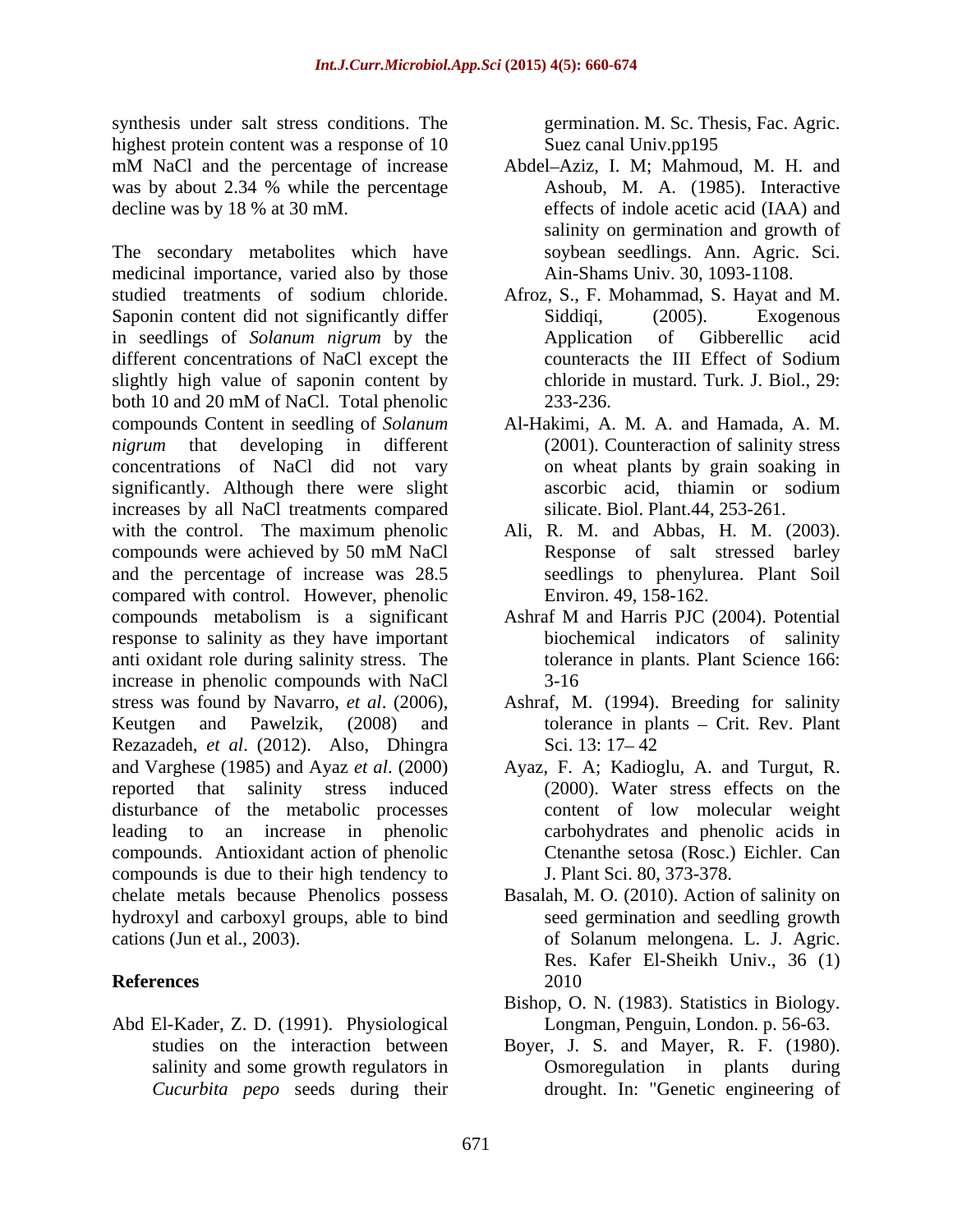synthesis under salt stress conditions. The highest protein content was a response of 10 Suez canal Univ.pp195 was by about 2.34 % while the percentage

The secondary metabolites which have medicinal importance, varied also by those studied treatments of sodium chloride. Afroz, S., F. Mohammad, S. Hayat and M. Saponin content did not significantly differ Siddiqi, (2005). Exogenous in seedlings of *Solanum nigrum* by the different concentrations of NaCl except the counteracts the III Effect of Sodium slightly high value of saponin content by both 10 and 20 mM of NaCl. Total phenolic 233-236. compounds Content in seedling of *Solanum nigrum* that developing in different (2001). Counteraction of salinity stress concentrations of NaCl did not vary significantly. Although there were slight ascorbic acid, thiamin or sodium increases by all NaCl treatments compared with the control. The maximum phenolic Ali, R. M. and Abbas, H. M. (2003). compounds were achieved by 50 mM NaCl and the percentage of increase was 28.5 compared with control. However, phenolic compounds metabolism is a significant Ashraf M and Harris PJC (2004). Potential response to salinity as they have important anti oxidant role during salinity stress. The increase in phenolic compounds with NaCl stress was found by Navarro, *et al.* (2006), Ashraf, M. (1994). Breeding for salinity Keutgen and Pawelzik, (2008) and tolerance in plants – Crit. Rev. Plant Rezazadeh, *et al*. (2012). Also, Dhingra and Varghese (1985) and Ayaz *et al*. (2000) Ayaz, F. A; Kadioglu, A. and Turgut, R. reported that salinity stress induced (2000). Water stress effects on the disturbance of the metabolic processes leading to an increase in phenolic carbohydrates and phenolic acids in compounds. Antioxidant action of phenolic compounds is due to their high tendency to chelate metals because Phenolics possess Basalah, M. O. (2010). Action of salinity on hydroxyl and carboxyl groups, able to bind cations (Jun et al., 2003). of Solanum melongena. L. J. Agric.

Abd El-Kader, Z. D. (1991). Physiological

germination. M. Sc. Thesis, Fac. Agric. Suez canal Univ.pp195

- mM NaCl and the percentage of increase Abdel–Aziz, I. M; Mahmoud, M. H. and decline was by 18 % at 30 mM. effects of indole acetic acid (IAA) and Abdel-Aziz, I. M; Mahmoud, M. H. and Ashoub, M. A. (1985). Interactive salinity on germination and growth of soybean seedlings. Ann. Agric. Sci. Ain-Shams Univ. 30, 1093-1108.
	- Siddiqi, (2005). Exogenous Application of Gibberellic acid counteracts the III Effect of Sodium chloride in mustard. Turk. J. Biol., 29: 233-236.
	- Al-Hakimi, A. M. A. and Hamada, A. M. on wheat plants by grain soaking in ascorbic acid, thiamin or sodium silicate. Biol. Plant.44, 253-261.
	- Response of salt stressed barley seedlings to phenylurea. Plant Soil Environ. 49, 158-162.
	- biochemical indicators of salinity tolerance in plants. Plant Science 166: 3-16
	- Ashraf, M. (1994). Breeding for salinity tolerance in plants  $-$  Crit. Rev. Plant Sci. 13: 17–42
	- content of low molecular weight Ctenanthe setosa (Rosc.) Eichler. Can J. Plant Sci. 80, 373-378.
- **References** seed germination and seedling growth Res. Kafer El-Sheikh Univ., 36 (1) 2010
	- Bishop, O. N. (1983). Statistics in Biology. Longman, Penguin, London. p. 56-63.
	- studies on the interaction between Boyer, J. S. and Mayer, R. F. (1980). salinity and some growth regulators in Osmoregulation in plants during *Cucurbita pepo* seeds during their drought. In: "Genetic engineering of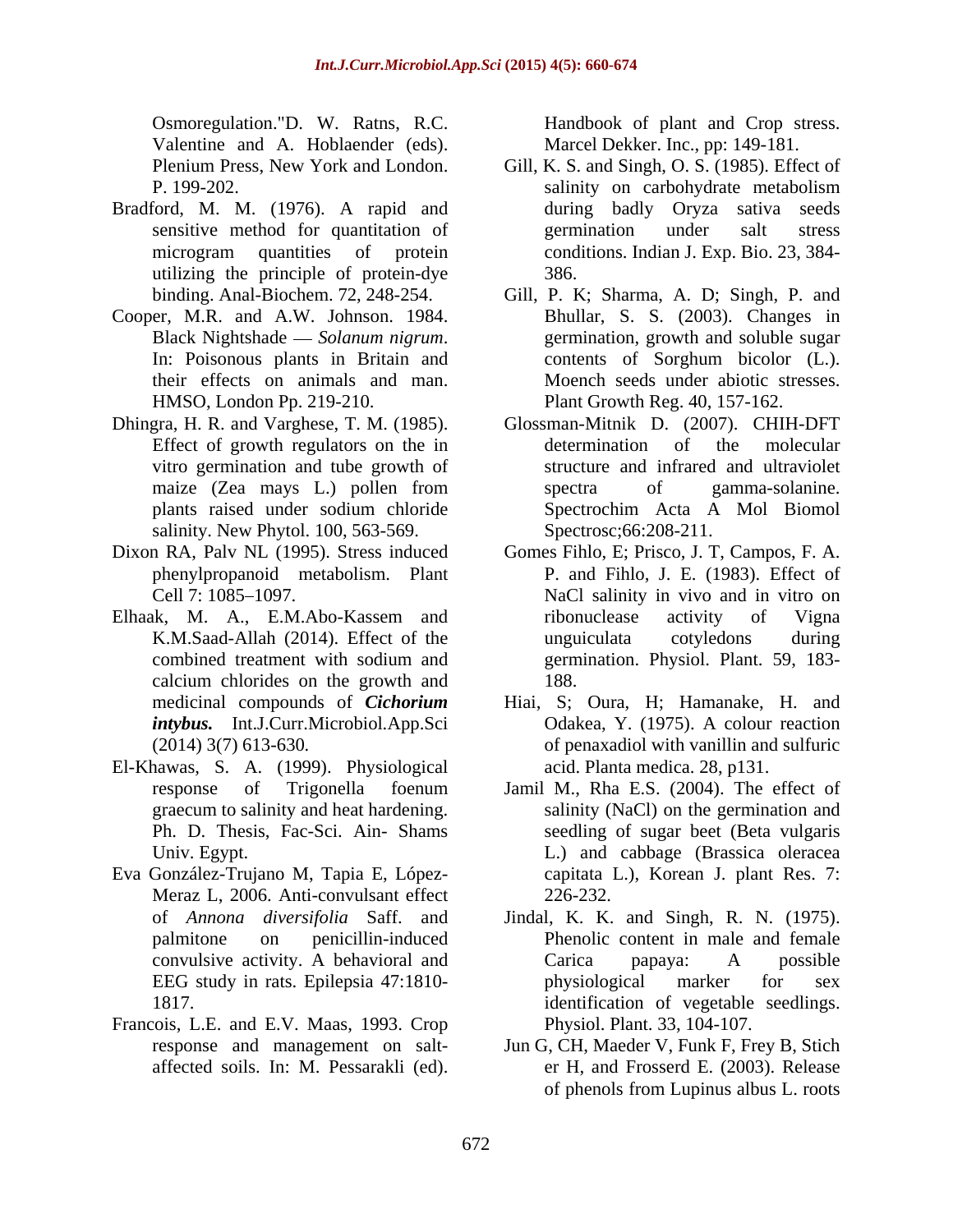Osmoregulation."D. W. Ratns, R.C. Valentine and A. Hoblaender (eds). Marcel Dekker. Inc., pp: 149-181.

- Bradford, M. M. (1976). A rapid and utilizing the principle of protein-dye
- Cooper, M.R. and A.W. Johnson. 1984.
- Dhingra, H. R. and Varghese, T. M. (1985). vitro germination and tube growth of salinity. New Phytol. 100, 563-569.
- 
- Elhaak, M. A., E.M.Abo-Kassem and calcium chlorides on the growth and
- El-Khawas, S. A. (1999). Physiological
- Eva González-Trujano M, Tapia E, López- Meraz L, 2006. Anti-convulsant effect 226-232.
- Francois, L.E. and E.V. Maas, 1993. Crop

- Plenium Press, New York and London. Gill, K. S. and Singh, O. S. (1985). Effect of P. 199-202. Salinity on carbohydrate metabolism sensitive method for quantitation of germination under salt stress microgram quantities of protein conditions. Indian J. Exp. Bio. 23, 384salinity on carbohydrate metabolism during badly Oryza sativa seeds germination under salt stress conditions. Indian J. Exp. Bio. 23, 384- 386.
- binding. Anal-Biochem. 72, 248-254. Gill, P. K; Sharma, A. D; Singh, P. and Black Nightshade — Solanum nigrum.<br>In: Poisonous plants in Britain and a contents of Sorghum bicolor (L.). their effects on animals and man. Moench seeds under abiotic stresses. HMSO, London Pp. 219-210. Plant Growth Reg. 40, 157-162. Bhullar, S. S. (2003). Changes in germination, growth and soluble sugar contents of Sorghum bicolor (L.).
- Effect of growth regulators on the in determination of the molecular maize (Zea mays L.) pollen from spectra of gamma-solanine. plants raised under sodium chloride Glossman-Mitnik D. (2007). CHIH-DFT determination of the molecular structure and infrared and ultraviolet spectra of gamma-solanine. Spectrochim Acta A Mol Biomol Spectrosc;66:208-211.
- Dixon RA, Palv NL (1995). Stress induced Gomes Fihlo, E; Prisco, J. T, Campos, F. A. phenylpropanoid metabolism. Plant P. and Fihlo, J. E. (1983). Effect of Cell 7: 1085–1097. NaCl salinity in vivo and in vitro on K.M.Saad-Allah (2014). Effect of the combined treatment with sodium and Someonogalianian (Someonogalianian (Someonogalianian (Someonogalianian) Crop Solution Figure 10. New York and Loudon. Gill, K. S. and Single, O. S. (1985). Elierto is the solution of the solution of the solution of the sol ribonuclease activity of Vigna unguiculata cotyledons during germination. Physiol. Plant. 59, 183- 188.
	- medicinal compounds of *Cichorium*  Hiai, S; Oura, H; Hamanake, H. and *intybus.* Int.J.Curr.Microbiol*.*App.Sci Odakea, Y. (1975). A colour reaction (2014) 3(7) 613-630*.* of penaxadiol with vanillin and sulfuric acid. Planta medica. 28, p131.
	- response of Trigonella foenum Jamil M., Rha E.S. (2004). The effect of graecum to salinity and heat hardening. salinity (NaCl) on the germination and Ph. D. Thesis, Fac-Sci. Ain- Shams seedling of sugar beet (Beta vulgaris Univ. Egypt. L.) and cabbage (Brassica oleracea capitata L.), Korean J. plant Res. 7: 226-232.
	- of *Annona diversifolia* Saff. and Jindal, K. K. and Singh, R. N. (1975). palmitone on penicillin-induced Phenolic content in male and female convulsive activity. A behavioral and EEG study in rats. Epilepsia 47:1810-<br>physiological marker for sex 1817. identification of vegetable seedlings. Carica papaya: A possible physiological marker for sex Physiol. Plant. 33, 104-107.
	- response and management on salt- Jun G, CH, Maeder V, Funk F, Frey B, Stich er H, and Frosserd E. (2003). Release of phenols from Lupinus albus L. roots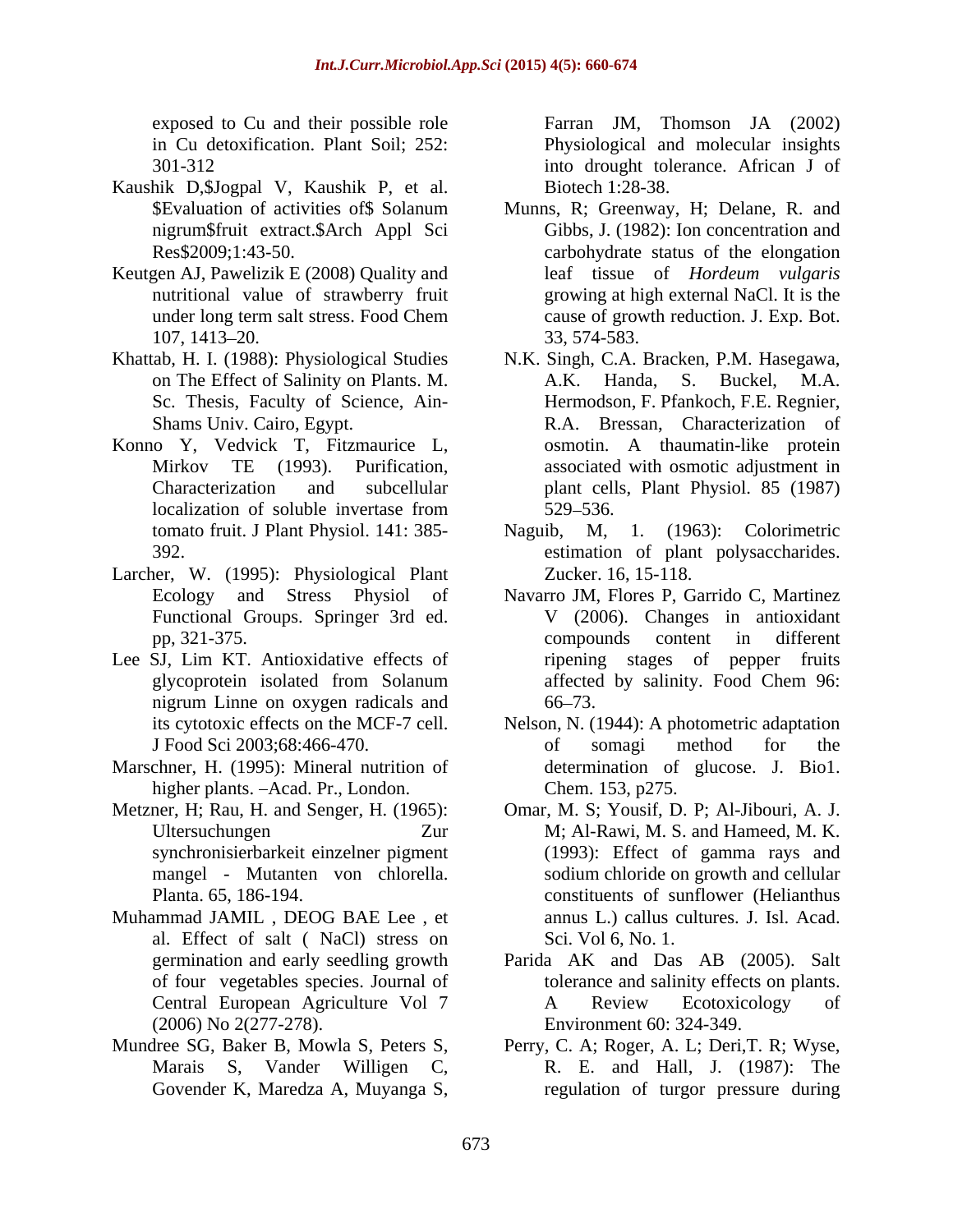exposed to Cu and their possible role Farran JM, Thomson JA (2002)

- Kaushik D,\$Jogpal V, Kaushik P, et al.
- Keutgen AJ, Pawelizik E (2008) Quality and
- Sc. Thesis, Faculty of Science, Ain-
- Konno Y, Vedvick T, Fitzmaurice L,
- Larcher, W. (1995): Physiological Plant
- Lee SJ, Lim KT. Antioxidative effects of nigrum Linne on oxygen radicals and  $66-73$ .
- Marschner, H. (1995): Mineral nutrition of higher plants. - Acad. Pr., London.
- Metzner, H; Rau, H. and Senger, H. (1965):
- Muhammad JAMIL , DEOG BAE Lee , et al. Effect of salt ( NaCl) stress on
- Govender K, Maredza A, Muyanga S,

in Cu detoxification. Plant Soil; 252: Physiological and molecular insights 301-312 into drought tolerance. African J of Farran JM, Thomson JA (2002) Biotech 1:28-38.

- \$Evaluation of activities of\$ Solanum Munns, R; Greenway, H; Delane, R. and nigrum\$fruit extract.\$Arch Appl Sci Gibbs, J. (1982): Ion concentration and Res\$2009;1:43-50. carbohydrate status of the elongation nutritional value of strawberry fruit growing at high external NaCl. It is the under long term salt stress. Food Chem cause of growth reduction. J. Exp. Bot. 107, 1413–20. 33, 574-583. leaf tissue of *Hordeum vulgaris* cause of growth reduction. J. Exp. Bot. 33, 574-583.
- Khattab, H. I. (1988): Physiological Studies N.K. Singh, C.A. Bracken, P.M. Hasegawa, on The Effect of Salinity on Plants. M. A.K. Handa, S. Buckel, M.A. Shams Univ. Cairo, Egypt. R.A. Bressan, Characterization of Mirkov TE (1993). Purification, associated with osmotic adjustment in Characterization and subcellular plant cells, Plant Physiol. 85 (1987) localization of soluble invertase from A.K. Handa, S. Buckel, M.A. Hermodson, F. Pfankoch, F.E. Regnier, osmotin. A thaumatin-like protein 529 536.
	- tomato fruit. J Plant Physiol. 141: 385-<br>
	Naguib, M, 1. (1963): Colorimetric 392. estimation of plant polysaccharides. Naguib, M, 1. (1963): Colorimetric Zucker. 16, 15-118.
	- Ecology and Stress Physiol of Navarro JM, Flores P, Garrido C, Martinez Functional Groups. Springer 3rd ed. V (2006). Changes in antioxidant pp, 321-375. glycoprotein isolated from Solanum compounds content in different ripening stages of pepper fruits affected by salinity. Food Chem 96: 66 73.
	- its cytotoxic effects on the MCF-7 cell. Nelson, N. (1944): A photometric adaptation J Food Sci 2003;68:466-470. 
	of somagi method for the of somagi method for the determination of glucose. J. Bio1. Chem. 153, p275.
	- Ultersuchungen Zur M; Al-Rawi, M. S. and Hameed, M. K. synchronisierbarkeit einzelner pigment (1993): Effect of gamma rays and mangel - Mutanten von chlorella. Sodium chloride on growth and cellular<br>Planta. 65, 186-194. Constituents of sunflower (Helianthus Planta. 65, 186-194. constituents of sunflower (Helianthus Omar, M. S; Yousif, D. P; Al-Jibouri, A. J. sodium chloride on growth and cellular annus L.) callus cultures. J. Isl. Acad. Sci. Vol 6, No. 1.
	- germination and early seedling growth Parida AK and Das AB (2005). Salt of four vegetables species. Journal of tolerance and salinity effects on plants. Central European Agriculture Vol 7 (2006) No 2(277-278). Environment 60: 324-349. A Review Ecotoxicology of
- Mundree SG, Baker B, Mowla S, Peters S, Perry, C. A; Roger, A. L; Deri,T. R; Wyse, Marais S, Vander Willigen C, R. E. and Hall, J. (1987): The regulation of turgor pressure during